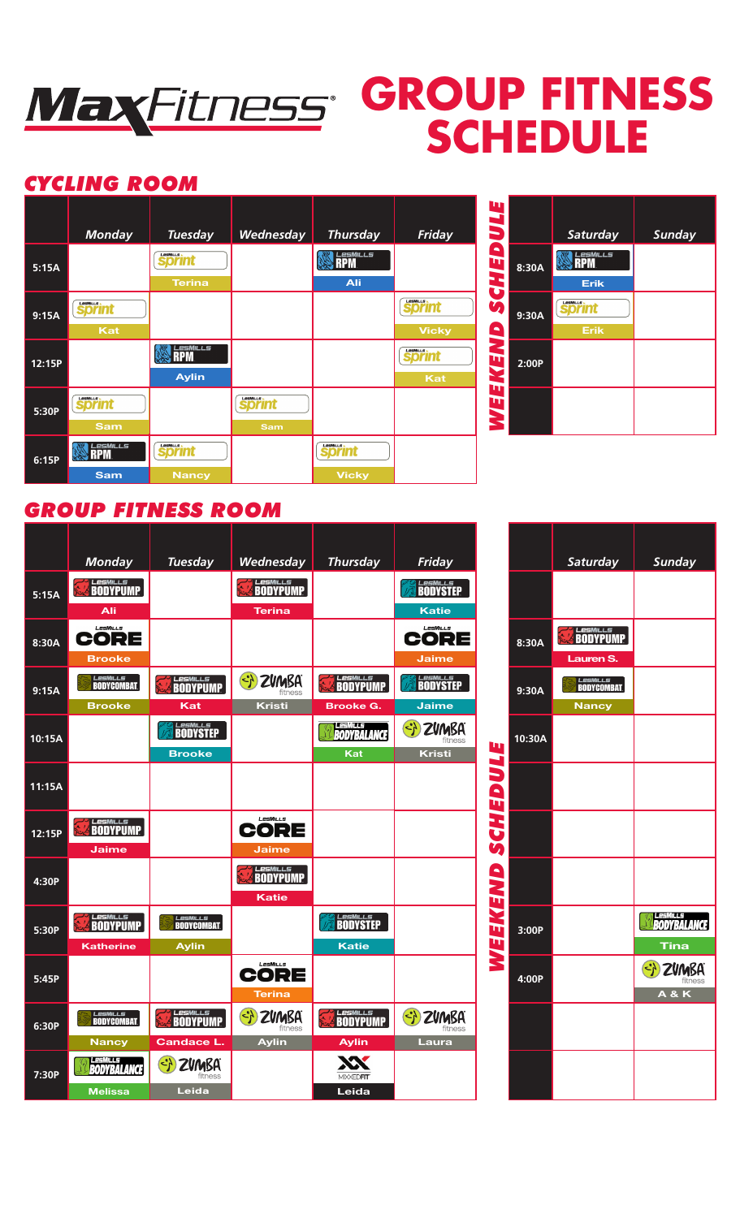

## **GROUP FITNESS SCHEDULE**

## *CYCLING ROOM*



| π                |       |                                  |               |
|------------------|-------|----------------------------------|---------------|
| IJ               |       | Saturday                         | <b>Sunday</b> |
| ß<br>ņ<br>3<br>3 | 8:30A | <b>MILLS</b><br><b>Erik</b>      |               |
| ÌĄ<br>8          | 9:30A | LesMiLLS<br>orınt<br><b>Erik</b> |               |
| MEN<br>π         | 2:00P |                                  |               |
| л<br>Ş           |       |                                  |               |

## *GROUP FITNESS ROOM*

|        | <b>Monday</b>                 | <b>Tuesday</b>                                                | Wednesday                                   | <b>Thursday</b>             | Friday                                                        |                    |        | Saturday         | Sunday                      |
|--------|-------------------------------|---------------------------------------------------------------|---------------------------------------------|-----------------------------|---------------------------------------------------------------|--------------------|--------|------------------|-----------------------------|
| 5:15A  | <b>LesMILLS</b>               |                                                               | <b>LesMILLS</b>                             |                             | <b>BODYSTEP</b>                                               |                    |        |                  |                             |
|        | Ali                           |                                                               | <b>Terina</b>                               |                             | <b>Katie</b>                                                  |                    |        |                  |                             |
| 8:30A  | LesMills<br>CORE              |                                                               |                                             |                             | LesMills<br>CORE                                              |                    | 8:30A  | <b>ELESMILLS</b> |                             |
|        | <b>Brooke</b>                 |                                                               |                                             |                             | <b>Jaime</b>                                                  |                    |        | Lauren S.        |                             |
| 9:15A  | <b>LesMILLS</b>               | <b>LesMILLS</b>                                               | $\left(\frac{1}{2}\right)$<br><b>ZVMBA</b>  | <b>LesMILLS</b><br>BODYPUMP | <b>BODYSTEP</b>                                               |                    | 9:30A  | <b>LesMILLS</b>  |                             |
|        | <b>Brooke</b>                 | Kat                                                           | <b>Kristi</b>                               | <b>Brooke G.</b>            | <b>Jaime</b>                                                  |                    |        | <b>Nancy</b>     |                             |
| 10:15A |                               | <b>LESMILLS</b><br>BODYSTEP                                   |                                             | <b>BODYBALANCE</b>          | $\left\langle \cdot \right\rangle$<br><b>ZVMBA</b><br>fitness | W                  | 10:30A |                  |                             |
|        |                               | <b>Brooke</b>                                                 |                                             | Kat                         | <b>Kristi</b>                                                 | $\hat{\mathbf{v}}$ |        |                  |                             |
| 11:15A |                               |                                                               |                                             |                             |                                                               | 3<br>$\mathbf{a}$  |        |                  |                             |
| 12:15P | <b>LesMILLS</b>               |                                                               | LesMills<br>CORE                            |                             |                                                               | Č                  |        |                  |                             |
|        | <b>Jaime</b>                  |                                                               | Jaime                                       |                             |                                                               | Ŭ                  |        |                  |                             |
|        |                               |                                                               | <b>LesMILLS</b>                             |                             |                                                               |                    |        |                  |                             |
| 4:30P  |                               |                                                               | <b>Katie</b>                                |                             |                                                               |                    |        |                  |                             |
| 5:30P  | <b>LesMILLS</b><br>BODYPUMP   | <b>LesMILLS</b>                                               |                                             | <b>LesMILLS</b><br>BODYSTEP |                                                               | WEEKEND            | 3:00P  |                  | LesMILLS<br><b>BODYBALA</b> |
|        | <b>Katherine</b>              | <b>Aylin</b>                                                  |                                             | <b>Katie</b>                |                                                               |                    |        |                  | Tina                        |
| 5:45P  |                               |                                                               | LesMills<br>CORE                            |                             |                                                               |                    | 4:00P  |                  | <b>ZVMB</b>                 |
|        |                               |                                                               | <b>Terina</b>                               |                             |                                                               |                    |        |                  | <b>A&amp;K</b>              |
| 6:30P  | <i>Lesmills</i><br>BODYCOMBAT | <b>LesMILLS</b>                                               | $\langle \cdot \rangle$<br>ZVMBA<br>fitness | <b>LesMILLS</b><br>BODYPUMP | $\left\{ \cdot \right\}$<br>ZVMBA<br>fitness                  |                    |        |                  |                             |
|        | <b>Nancy</b>                  | <b>Candace L.</b>                                             | <b>Aylin</b>                                | <b>Aylin</b>                | Laura                                                         |                    |        |                  |                             |
| 7:30P  | 有事机性病<br><b>BODYBALANCE</b>   | $\left\langle \cdot \right\rangle$<br><b>ZVMBA</b><br>fitness |                                             | <b>MIXXEDFIT</b>            |                                                               |                    |        |                  |                             |
|        | <b>Melissa</b>                | Leida                                                         |                                             | Leida                       |                                                               |                    |        |                  |                             |

|                  |        | <b>Saturday</b>                               | <b>Sunday</b>                         |
|------------------|--------|-----------------------------------------------|---------------------------------------|
| WEEKEND SCHEDULE |        |                                               |                                       |
|                  | 8:30A  | <b>EXPLOSURED BODYPUMP</b><br>Lauren S.       |                                       |
|                  | 9:30A  | <i>Lesmills</i><br>BodyCombat<br><b>Nancy</b> |                                       |
|                  | 10:30A |                                               |                                       |
|                  |        |                                               |                                       |
|                  |        |                                               |                                       |
|                  |        |                                               |                                       |
|                  | 3:00P  |                                               | <b>BODYBALANCE</b><br>Tina            |
|                  | 4:00P  |                                               | SI ZUMBA<br>fitness<br><b>A&amp;K</b> |
|                  |        |                                               |                                       |
|                  |        |                                               |                                       |